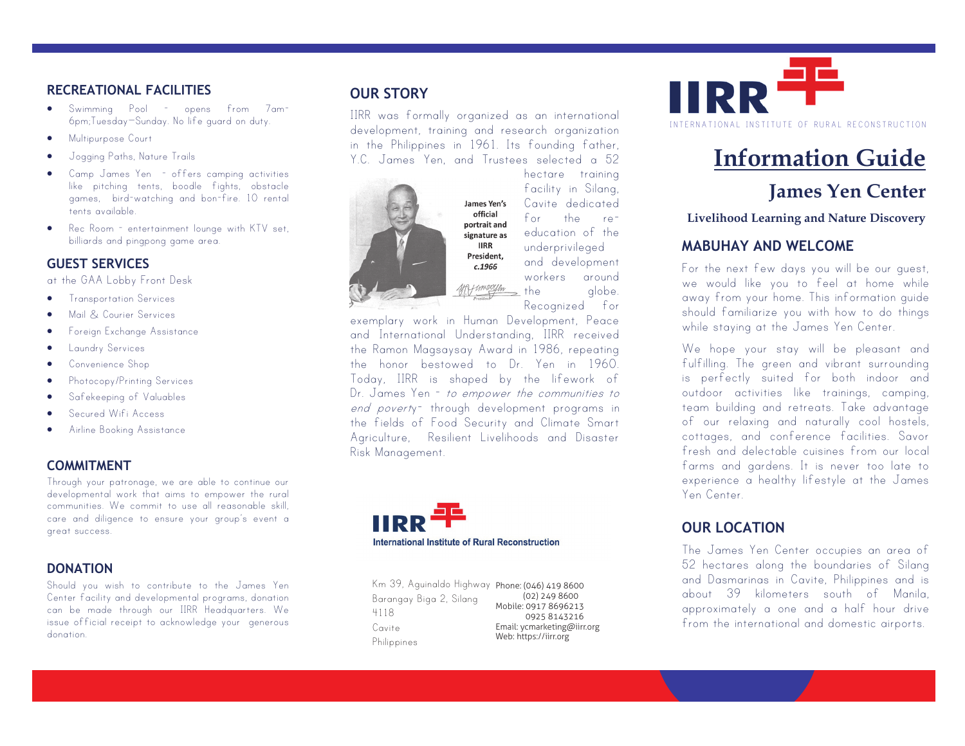#### **RECREATIONAL FACILITIES**

- Swimming Pool opens from 7am-6pm;Tuesday—Sunday. No life guard on duty.
- **•** Multipurpose Court
- Jogging Paths, Nature Trails
- Camp James Yen offers camping activities like pitching tents, boodle fights, obstacle games, bird-watching and bon-fire. 10 rental tents available.
- Rec Room entertainment lounge with KTV set, billiards and pingpong game area.

#### **GUEST SERVICES**

at the GAA Lobby Front Desk

- **•** Transportation Services
- Mail & Courier Services
- Foreign Exchange Assistance
- **•** Laundry Services
- Convenience Shop
- Photocopy/Printing Services
- Safekeeping of Valuables
- Secured Wifi Access
- Airline Booking Assistance

## **COMMITMENT**

Through your patronage, we are able to continue our developmental work that aims to empower the rural communities. We commit to use all reasonable skill, care and diligence to ensure your group's event a great success.

#### **DONATION**

Should you wish to contribute to the James Yen Center facility and developmental programs, donation can be made through our IIRR Headquarters. We issue official receipt to acknowledge your generous donation.

## **OUR STORY**

IIRR was formally organized as an international development, training and research organization in the Philippines in 1961. Its founding father, Y.C. James Yen, and Trustees selected a 52



James Yen's official portrait and signature as **IIRR** President.  $c.1966$ Mit imeritan

hectare training facility in Silang, Cavite dedicated for the re- education of the underprivileged and development workers around the alobe. Recognized for

exemplary work in Human Development, Peace and International Understanding, IIRR received the Ramon Magsaysay Award in 1986, repeating the honor bestowed to Dr. Yen in 1960. Today, IIRR is shaped by the lifework of Dr. James Yen - to empower the communities to end poverty<sup>-</sup> through development programs in the fields of Food Security and Climate Smart Agriculture, Resilient Livelihoods and Disaster Risk Management.



Km 39, Aguinaldo Highway Phone: (046) 419 8600 (02) 249 8600 Email: ycmarketing@iirr.org Web: https://iirr.org<br> Barangay Biga 2, Silang 4118 Cavite Philippines Mobile: 0917 8696213 0925 8143216



# **Information Guide**

## **James Yen Center**

**Livelihood Learning and Nature Discovery**

## **MABUHAY AND WELCOME**

For the next few days you will be our guest, we would like you to feel at home while away from your home. This information guide should familiarize you with how to do things while staying at the James Yen Center.

We hope your stay will be pleasant and fulfilling. The green and vibrant surrounding is perfectly suited for both indoor and outdoor activities like trainings, camping, team building and retreats. Take advantage of our relaxing and naturally cool hostels, cottages, and conference facilities. Savor fresh and delectable cuisines from our local farms and gardens. It is never too late to experience a healthy lifestyle at the James Yen Center.

## **OUR LOCATION**

The James Yen Center occupies an area of 52 hectares along the boundaries of Silang and Dasmarinas in Cavite, Philippines and is about 39 kilometers south of Manila, approximately a one and a half hour drive from the international and domestic airports.